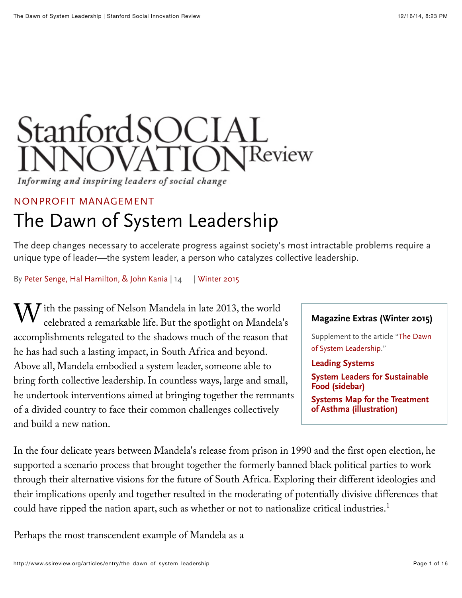# StanfordSOCIAL **INOVATIONReview**

Informing and inspiring leaders of social change

#### [NONPROFIT MANAGEMENT](http://www.ssireview.org/articles/category/nonprofit_management)

# The Dawn of System Leadership

The deep changes necessary to accelerate progress against society's most intractable problems require a unique type of leader—the system leader, a person who catalyzes collective leadership.

By [Peter Senge, Hal Hamilton, & John Kania](http://www.ssireview.org/articles/entry/the_dawn_of_system_leadership#bio-footer) | [14](http://www.ssireview.org/articles/entry/the_dawn_of_system_leadership#comments) | [Winter 2015](http://www.ssireview.org/issue/winter_2015)

W ith the passing of Nelson Mandela in late 2013, the world<br>celebrated a remarkable life. But the spotlight on Mandela celebrated a remarkable life. But the spotlight on Mandela's accomplishments relegated to the shadows much of the reason that he has had such a lasting impact, in South Africa and beyond. Above all, Mandela embodied a system leader, someone able to bring forth collective leadership. In countless ways, large and small, he undertook interventions aimed at bringing together the remnants of a divided country to face their common challenges collectively and build a new nation.

#### **Magazine Extras (Winter 2015)**

[Supplement to the article "The Dawn](http://www.ssireview.org/articles/entry/the_dawn_of_system_leadership) of System Leadership."

**[Leading Systems](http://www.ssireview.org/articles/entry/leading_systems#leadingsystems)**

**[System Leaders for Sustainable](http://www.ssireview.org/articles/entry/leading_systems#systemleaders) Food (sidebar)**

**[Systems Map for the Treatment](http://www.ssireview.org/articles/entry/leading_systems#asthmamap) of Asthma (illustration)**

In the four delicate years between Mandela's release from prison in 1990 and the first open election, he supported a scenario process that brought together the formerly banned black political parties to work through their alternative visions for the future of South Africa. Exploring their different ideologies and their implications openly and together resulted in the moderating of potentially divisive differences that could have ripped the nation apart, such as whether or not to nationalize critical industries. 1

Perhaps the most transcendent example of Mandela as a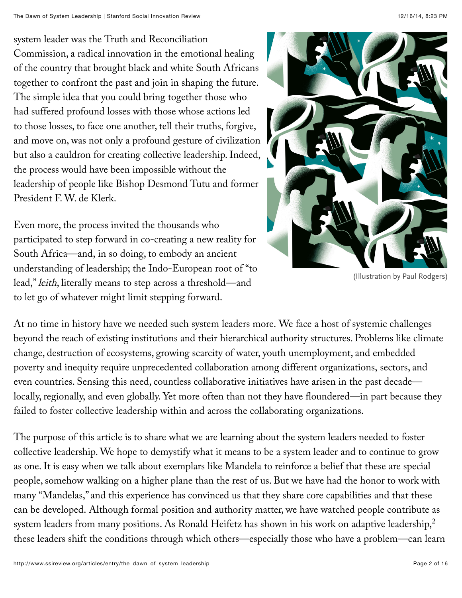system leader was the Truth and Reconciliation Commission, a radical innovation in the emotional healing of the country that brought black and white South Africans together to confront the past and join in shaping the future. The simple idea that you could bring together those who had suffered profound losses with those whose actions led to those losses, to face one another, tell their truths, forgive, and move on, was not only a profound gesture of civilization but also a cauldron for creating collective leadership. Indeed, the process would have been impossible without the leadership of people like Bishop Desmond Tutu and former President F. W. de Klerk.

Even more, the process invited the thousands who participated to step forward in co-creating a new reality for South Africa—and, in so doing, to embody an ancient understanding of leadership; the Indo-European root of "to lead," leith, literally means to step across a threshold—and to let go of whatever might limit stepping forward.



(Illustration by Paul Rodgers)

At no time in history have we needed such system leaders more. We face a host of systemic challenges beyond the reach of existing institutions and their hierarchical authority structures. Problems like climate change, destruction of ecosystems, growing scarcity of water, youth unemployment, and embedded poverty and inequity require unprecedented collaboration among different organizations, sectors, and even countries. Sensing this need, countless collaborative initiatives have arisen in the past decade locally, regionally, and even globally. Yet more often than not they have floundered—in part because they failed to foster collective leadership within and across the collaborating organizations.

The purpose of this article is to share what we are learning about the system leaders needed to foster collective leadership. We hope to demystify what it means to be a system leader and to continue to grow as one. It is easy when we talk about exemplars like Mandela to reinforce a belief that these are special people, somehow walking on a higher plane than the rest of us. But we have had the honor to work with many "Mandelas," and this experience has convinced us that they share core capabilities and that these can be developed. Although formal position and authority matter, we have watched people contribute as system leaders from many positions. As Ronald Heifetz has shown in his work on adaptive leadership, $^2$ these leaders shift the conditions through which others—especially those who have a problem—can learn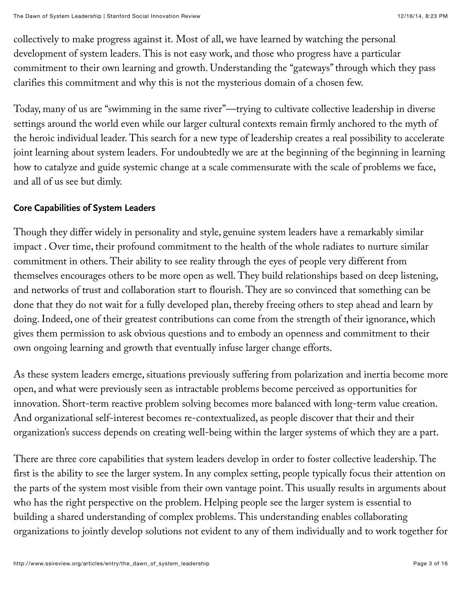collectively to make progress against it. Most of all, we have learned by watching the personal development of system leaders. This is not easy work, and those who progress have a particular commitment to their own learning and growth. Understanding the "gateways" through which they pass clarifies this commitment and why this is not the mysterious domain of a chosen few.

Today, many of us are "swimming in the same river"—trying to cultivate collective leadership in diverse settings around the world even while our larger cultural contexts remain firmly anchored to the myth of the heroic individual leader. This search for a new type of leadership creates a real possibility to accelerate joint learning about system leaders. For undoubtedly we are at the beginning of the beginning in learning how to catalyze and guide systemic change at a scale commensurate with the scale of problems we face, and all of us see but dimly.

### **Core Capabilities of System Leaders**

Though they differ widely in personality and style, genuine system leaders have a remarkably similar impact . Over time, their profound commitment to the health of the whole radiates to nurture similar commitment in others. Their ability to see reality through the eyes of people very different from themselves encourages others to be more open as well. They build relationships based on deep listening, and networks of trust and collaboration start to flourish. They are so convinced that something can be done that they do not wait for a fully developed plan, thereby freeing others to step ahead and learn by doing. Indeed, one of their greatest contributions can come from the strength of their ignorance, which gives them permission to ask obvious questions and to embody an openness and commitment to their own ongoing learning and growth that eventually infuse larger change efforts.

As these system leaders emerge, situations previously suffering from polarization and inertia become more open, and what were previously seen as intractable problems become perceived as opportunities for innovation. Short-term reactive problem solving becomes more balanced with long-term value creation. And organizational self-interest becomes re-contextualized, as people discover that their and their organization's success depends on creating well-being within the larger systems of which they are a part.

There are three core capabilities that system leaders develop in order to foster collective leadership. The first is the ability to see the larger system. In any complex setting, people typically focus their attention on the parts of the system most visible from their own vantage point. This usually results in arguments about who has the right perspective on the problem. Helping people see the larger system is essential to building a shared understanding of complex problems. This understanding enables collaborating organizations to jointly develop solutions not evident to any of them individually and to work together for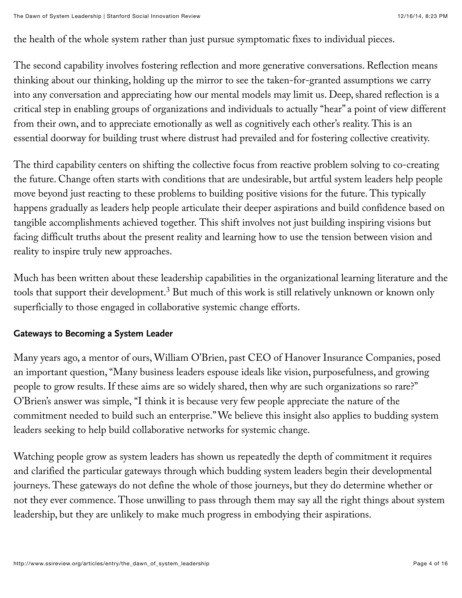the health of the whole system rather than just pursue symptomatic fixes to individual pieces.

The second capability involves fostering reflection and more generative conversations. Reflection means thinking about our thinking, holding up the mirror to see the taken-for-granted assumptions we carry into any conversation and appreciating how our mental models may limit us. Deep, shared reflection is a critical step in enabling groups of organizations and individuals to actually "hear" a point of view different from their own, and to appreciate emotionally as well as cognitively each other's reality. This is an essential doorway for building trust where distrust had prevailed and for fostering collective creativity.

The third capability centers on shifting the collective focus from reactive problem solving to co-creating the future. Change often starts with conditions that are undesirable, but artful system leaders help people move beyond just reacting to these problems to building positive visions for the future. This typically happens gradually as leaders help people articulate their deeper aspirations and build confidence based on tangible accomplishments achieved together. This shift involves not just building inspiring visions but facing difficult truths about the present reality and learning how to use the tension between vision and reality to inspire truly new approaches.

Much has been written about these leadership capabilities in the organizational learning literature and the tools that support their development. $^3$  But much of this work is still relatively unknown or known only superficially to those engaged in collaborative systemic change efforts.

#### **Gateways to Becoming a System Leader**

Many years ago, a mentor of ours, William O'Brien, past CEO of Hanover Insurance Companies, posed an important question, "Many business leaders espouse ideals like vision, purposefulness, and growing people to grow results. If these aims are so widely shared, then why are such organizations so rare?" O'Brien's answer was simple, "I think it is because very few people appreciate the nature of the commitment needed to build such an enterprise." We believe this insight also applies to budding system leaders seeking to help build collaborative networks for systemic change.

Watching people grow as system leaders has shown us repeatedly the depth of commitment it requires and clarified the particular gateways through which budding system leaders begin their developmental journeys. These gateways do not define the whole of those journeys, but they do determine whether or not they ever commence. Those unwilling to pass through them may say all the right things about system leadership, but they are unlikely to make much progress in embodying their aspirations.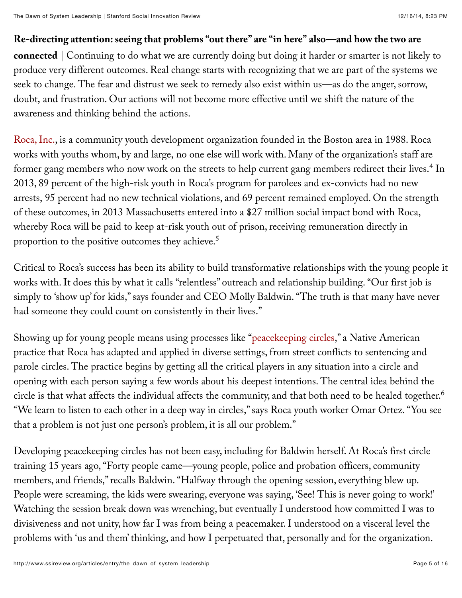# **Re-directing attention: seeing that problems "out there" are "in here" also—and how the two are**

**connected** | Continuing to do what we are currently doing but doing it harder or smarter is not likely to produce very different outcomes. Real change starts with recognizing that we are part of the systems we seek to change. The fear and distrust we seek to remedy also exist within us—as do the anger, sorrow, doubt, and frustration. Our actions will not become more effective until we shift the nature of the awareness and thinking behind the actions.

[Roca, Inc.,](http://rocainc.org/) is a community youth development organization founded in the Boston area in 1988. Roca works with youths whom, by and large, no one else will work with. Many of the organization's staff are former gang members who now work on the streets to help current gang members redirect their lives. $^4$  In 2013, 89 percent of the high-risk youth in Roca's program for parolees and ex-convicts had no new arrests, 95 percent had no new technical violations, and 69 percent remained employed. On the strength of these outcomes, in 2013 Massachusetts entered into a \$27 million social impact bond with Roca, whereby Roca will be paid to keep at-risk youth out of prison, receiving remuneration directly in proportion to the positive outcomes they achieve. 5

Critical to Roca's success has been its ability to build transformative relationships with the young people it works with. It does this by what it calls "relentless" outreach and relationship building. "Our first job is simply to 'show up' for kids," says founder and CEO Molly Baldwin. "The truth is that many have never had someone they could count on consistently in their lives."

Showing up for young people means using processes like "[peacekeeping circles,](http://www.restorativejustice.org/university-classroom/01introduction/tutorial-introduction-to-restorative-justice/processes/circles)" a Native American practice that Roca has adapted and applied in diverse settings, from street conflicts to sentencing and parole circles. The practice begins by getting all the critical players in any situation into a circle and opening with each person saying a few words about his deepest intentions. The central idea behind the circle is that what affects the individual affects the community, and that both need to be healed together. 6"We learn to listen to each other in a deep way in circles," says Roca youth worker Omar Ortez. "You see that a problem is not just one person's problem, it is all our problem."

Developing peacekeeping circles has not been easy, including for Baldwin herself. At Roca's first circle training 15 years ago, "Forty people came—young people, police and probation officers, community members, and friends," recalls Baldwin. "Halfway through the opening session, everything blew up. People were screaming, the kids were swearing, everyone was saying, 'See! This is never going to work!' Watching the session break down was wrenching, but eventually I understood how committed I was to divisiveness and not unity, how far I was from being a peacemaker. I understood on a visceral level the problems with 'us and them' thinking, and how I perpetuated that, personally and for the organization.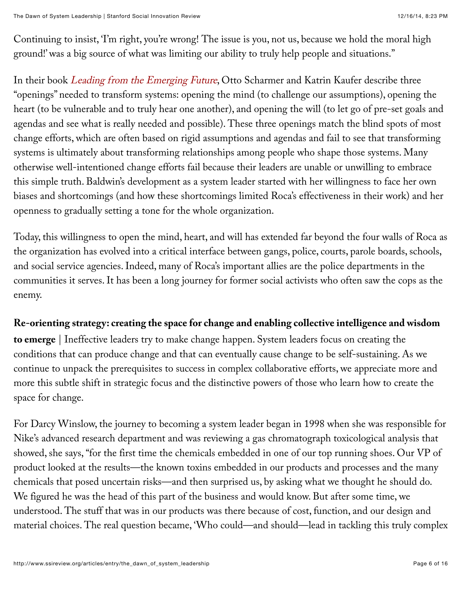Continuing to insist, 'I'm right, you're wrong! The issue is you, not us, because we hold the moral high ground!' was a big source of what was limiting our ability to truly help people and situations."

In their book [Leading from the Emerging Future](http://www.amazon.com/Leading-Emerging-Future-Ego-System-Eco-System/dp/1605099260), Otto Scharmer and Katrin Kaufer describe three "openings" needed to transform systems: opening the mind (to challenge our assumptions), opening the heart (to be vulnerable and to truly hear one another), and opening the will (to let go of pre-set goals and agendas and see what is really needed and possible). These three openings match the blind spots of most change efforts, which are often based on rigid assumptions and agendas and fail to see that transforming systems is ultimately about transforming relationships among people who shape those systems. Many otherwise well-intentioned change efforts fail because their leaders are unable or unwilling to embrace this simple truth. Baldwin's development as a system leader started with her willingness to face her own biases and shortcomings (and how these shortcomings limited Roca's effectiveness in their work) and her openness to gradually setting a tone for the whole organization.

Today, this willingness to open the mind, heart, and will has extended far beyond the four walls of Roca as the organization has evolved into a critical interface between gangs, police, courts, parole boards, schools, and social service agencies. Indeed, many of Roca's important allies are the police departments in the communities it serves. It has been a long journey for former social activists who often saw the cops as the enemy.

# **Re-orienting strategy: creating the space for change and enabling collective intelligence and wisdom**

**to emerge** | Ineffective leaders try to make change happen. System leaders focus on creating the conditions that can produce change and that can eventually cause change to be self-sustaining. As we continue to unpack the prerequisites to success in complex collaborative efforts, we appreciate more and more this subtle shift in strategic focus and the distinctive powers of those who learn how to create the space for change.

For Darcy Winslow, the journey to becoming a system leader began in 1998 when she was responsible for Nike's advanced research department and was reviewing a gas chromatograph toxicological analysis that showed, she says, "for the first time the chemicals embedded in one of our top running shoes. Our VP of product looked at the results—the known toxins embedded in our products and processes and the many chemicals that posed uncertain risks—and then surprised us, by asking what we thought he should do. We figured he was the head of this part of the business and would know. But after some time, we understood. The stuff that was in our products was there because of cost, function, and our design and material choices. The real question became, 'Who could—and should—lead in tackling this truly complex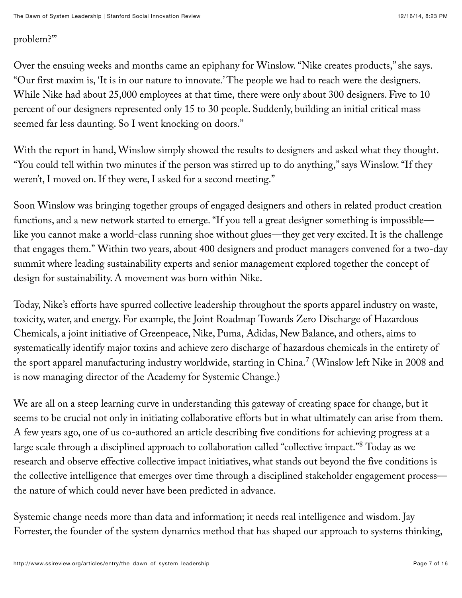## problem?'"

Over the ensuing weeks and months came an epiphany for Winslow. "Nike creates products," she says. "Our first maxim is, 'It is in our nature to innovate.' The people we had to reach were the designers. While Nike had about 25,000 employees at that time, there were only about 300 designers. Five to 10 percent of our designers represented only 15 to 30 people. Suddenly, building an initial critical mass seemed far less daunting. So I went knocking on doors."

With the report in hand, Winslow simply showed the results to designers and asked what they thought. "You could tell within two minutes if the person was stirred up to do anything," says Winslow. "If they weren't, I moved on. If they were, I asked for a second meeting."

Soon Winslow was bringing together groups of engaged designers and others in related product creation functions, and a new network started to emerge. "If you tell a great designer something is impossible like you cannot make a world-class running shoe without glues—they get very excited. It is the challenge that engages them." Within two years, about 400 designers and product managers convened for a two-day summit where leading sustainability experts and senior management explored together the concept of design for sustainability. A movement was born within Nike.

Today, Nike's efforts have spurred collective leadership throughout the sports apparel industry on waste, toxicity, water, and energy. For example, the Joint Roadmap Towards Zero Discharge of Hazardous Chemicals, a joint initiative of Greenpeace, Nike, Puma, Adidas, New Balance, and others, aims to systematically identify major toxins and achieve zero discharge of hazardous chemicals in the entirety of the sport apparel manufacturing industry worldwide, starting in China. $^7$  (Winslow left Nike in 2008 and is now managing director of the Academy for Systemic Change.)

We are all on a steep learning curve in understanding this gateway of creating space for change, but it seems to be crucial not only in initiating collaborative efforts but in what ultimately can arise from them. A few years ago, one of us co-authored an article describing five conditions for achieving progress at a large scale through a disciplined approach to collaboration called "collective impact."<sup>8</sup> Today as we research and observe effective collective impact initiatives, what stands out beyond the five conditions is the collective intelligence that emerges over time through a disciplined stakeholder engagement processthe nature of which could never have been predicted in advance.

Systemic change needs more than data and information; it needs real intelligence and wisdom. Jay Forrester, the founder of the system dynamics method that has shaped our approach to systems thinking,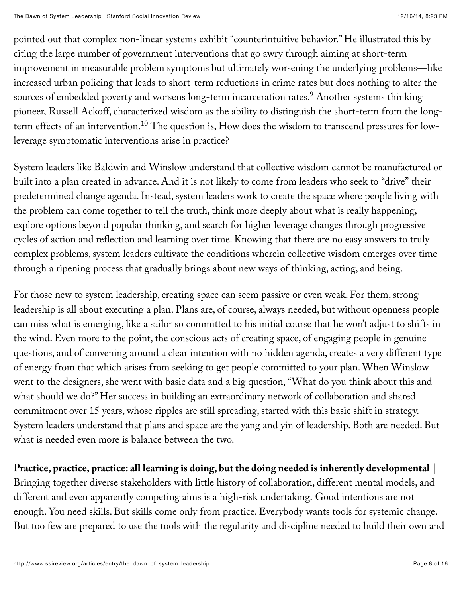pointed out that complex non-linear systems exhibit "counterintuitive behavior." He illustrated this by citing the large number of government interventions that go awry through aiming at short-term improvement in measurable problem symptoms but ultimately worsening the underlying problems—like increased urban policing that leads to short-term reductions in crime rates but does nothing to alter the sources of embedded poverty and worsens long-term incarceration rates.<sup>9</sup> Another systems thinking pioneer, Russell Ackoff, characterized wisdom as the ability to distinguish the short-term from the longterm effects of an intervention. $^{10}$  The question is, How does the wisdom to transcend pressures for lowleverage symptomatic interventions arise in practice?

System leaders like Baldwin and Winslow understand that collective wisdom cannot be manufactured or built into a plan created in advance. And it is not likely to come from leaders who seek to "drive" their predetermined change agenda. Instead, system leaders work to create the space where people living with the problem can come together to tell the truth, think more deeply about what is really happening, explore options beyond popular thinking, and search for higher leverage changes through progressive cycles of action and reflection and learning over time. Knowing that there are no easy answers to truly complex problems, system leaders cultivate the conditions wherein collective wisdom emerges over time through a ripening process that gradually brings about new ways of thinking, acting, and being.

For those new to system leadership, creating space can seem passive or even weak. For them, strong leadership is all about executing a plan. Plans are, of course, always needed, but without openness people can miss what is emerging, like a sailor so committed to his initial course that he won't adjust to shifts in the wind. Even more to the point, the conscious acts of creating space, of engaging people in genuine questions, and of convening around a clear intention with no hidden agenda, creates a very different type of energy from that which arises from seeking to get people committed to your plan. When Winslow went to the designers, she went with basic data and a big question, "What do you think about this and what should we do?" Her success in building an extraordinary network of collaboration and shared commitment over 15 years, whose ripples are still spreading, started with this basic shift in strategy. System leaders understand that plans and space are the yang and yin of leadership. Both are needed. But what is needed even more is balance between the two.

**Practice, practice, practice: all learning is doing, but the doing needed is inherently developmental** | Bringing together diverse stakeholders with little history of collaboration, different mental models, and

different and even apparently competing aims is a high-risk undertaking. Good intentions are not enough. You need skills. But skills come only from practice. Everybody wants tools for systemic change. But too few are prepared to use the tools with the regularity and discipline needed to build their own and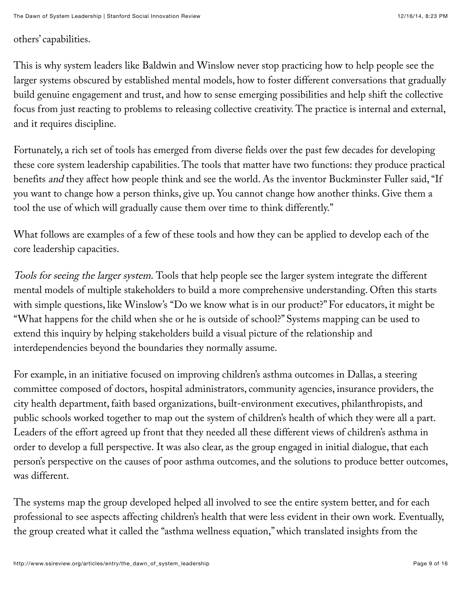others' capabilities.

This is why system leaders like Baldwin and Winslow never stop practicing how to help people see the larger systems obscured by established mental models, how to foster different conversations that gradually build genuine engagement and trust, and how to sense emerging possibilities and help shift the collective focus from just reacting to problems to releasing collective creativity. The practice is internal and external, and it requires discipline.

Fortunately, a rich set of tools has emerged from diverse fields over the past few decades for developing these core system leadership capabilities. The tools that matter have two functions: they produce practical benefits and they affect how people think and see the world. As the inventor Buckminster Fuller said, "If you want to change how a person thinks, give up. You cannot change how another thinks. Give them a tool the use of which will gradually cause them over time to think differently."

What follows are examples of a few of these tools and how they can be applied to develop each of the core leadership capacities.

Tools for seeing the larger system. Tools that help people see the larger system integrate the different mental models of multiple stakeholders to build a more comprehensive understanding. Often this starts with simple questions, like Winslow's "Do we know what is in our product?" For educators, it might be "What happens for the child when she or he is outside of school?" Systems mapping can be used to extend this inquiry by helping stakeholders build a visual picture of the relationship and interdependencies beyond the boundaries they normally assume.

For example, in an initiative focused on improving children's asthma outcomes in Dallas, a steering committee composed of doctors, hospital administrators, community agencies, insurance providers, the city health department, faith based organizations, built-environment executives, philanthropists, and public schools worked together to map out the system of children's health of which they were all a part. Leaders of the effort agreed up front that they needed all these different views of children's asthma in order to develop a full perspective. It was also clear, as the group engaged in initial dialogue, that each person's perspective on the causes of poor asthma outcomes, and the solutions to produce better outcomes, was different.

The systems map the group developed helped all involved to see the entire system better, and for each professional to see aspects affecting children's health that were less evident in their own work. Eventually, the group created what it called the "asthma wellness equation," which translated insights from the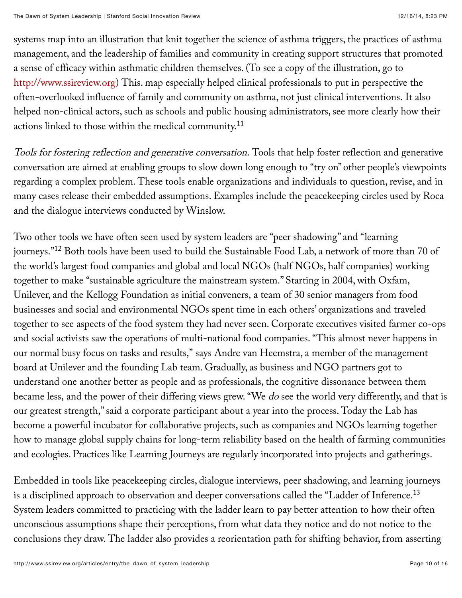systems map into an illustration that knit together the science of asthma triggers, the practices of asthma management, and the leadership of families and community in creating support structures that promoted a sense of efficacy within asthmatic children themselves. (To see a copy of the illustration, go to [http://www.ssireview.org\)](http://www.ssireview.org/) This. map especially helped clinical professionals to put in perspective the often-overlooked influence of family and community on asthma, not just clinical interventions. It also helped non-clinical actors, such as schools and public housing administrators, see more clearly how their actions linked to those within the medical community.<sup>11</sup>

Tools for fostering reflection and generative conversation. Tools that help foster reflection and generative conversation are aimed at enabling groups to slow down long enough to "try on" other people's viewpoints regarding a complex problem. These tools enable organizations and individuals to question, revise, and in many cases release their embedded assumptions. Examples include the peacekeeping circles used by Roca and the dialogue interviews conducted by Winslow.

Two other tools we have often seen used by system leaders are "peer shadowing" and "learning journeys." $^{12}$  Both tools have been used to build the Sustainable Food Lab, a network of more than 70 of the world's largest food companies and global and local NGOs (half NGOs, half companies) working together to make "sustainable agriculture the mainstream system." Starting in 2004, with Oxfam, Unilever, and the Kellogg Foundation as initial conveners, a team of 30 senior managers from food businesses and social and environmental NGOs spent time in each others' organizations and traveled together to see aspects of the food system they had never seen. Corporate executives visited farmer co-ops and social activists saw the operations of multi-national food companies. "This almost never happens in our normal busy focus on tasks and results," says Andre van Heemstra, a member of the management board at Unilever and the founding Lab team. Gradually, as business and NGO partners got to understand one another better as people and as professionals, the cognitive dissonance between them became less, and the power of their differing views grew. "We do see the world very differently, and that is our greatest strength," said a corporate participant about a year into the process. Today the Lab has become a powerful incubator for collaborative projects, such as companies and NGOs learning together how to manage global supply chains for long-term reliability based on the health of farming communities and ecologies. Practices like Learning Journeys are regularly incorporated into projects and gatherings.

Embedded in tools like peacekeeping circles, dialogue interviews, peer shadowing, and learning journeys is a disciplined approach to observation and deeper conversations called the "Ladder of Inference. $^{13}$ System leaders committed to practicing with the ladder learn to pay better attention to how their often unconscious assumptions shape their perceptions, from what data they notice and do not notice to the conclusions they draw. The ladder also provides a reorientation path for shifting behavior, from asserting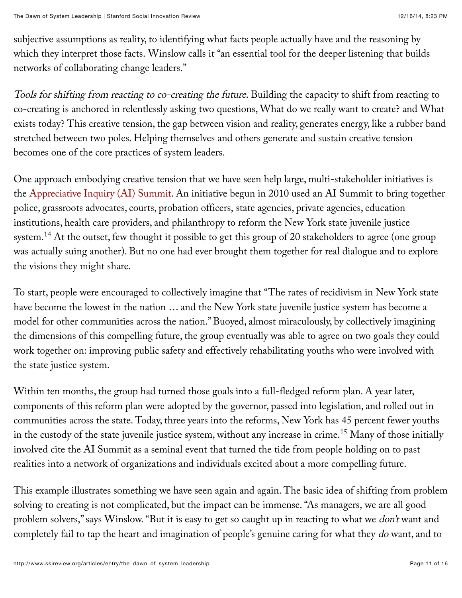subjective assumptions as reality, to identifying what facts people actually have and the reasoning by which they interpret those facts. Winslow calls it "an essential tool for the deeper listening that builds networks of collaborating change leaders."

Tools for shifting from reacting to co-creating the future. Building the capacity to shift from reacting to co-creating is anchored in relentlessly asking two questions, What do we really want to create? and What exists today? This creative tension, the gap between vision and reality, generates energy, like a rubber band stretched between two poles. Helping themselves and others generate and sustain creative tension becomes one of the core practices of system leaders.

One approach embodying creative tension that we have seen help large, multi-stakeholder initiatives is the [Appreciative Inquiry \(AI\) Summit](http://www.pgexchange.org/index.php?option=com_content&view=article&id=151&Itemid=145). An initiative begun in 2010 used an AI Summit to bring together police, grassroots advocates, courts, probation officers, state agencies, private agencies, education institutions, health care providers, and philanthropy to reform the New York state juvenile justice system. $^{14}$  At the outset, few thought it possible to get this group of 20 stakeholders to agree (one group was actually suing another). But no one had ever brought them together for real dialogue and to explore the visions they might share.

To start, people were encouraged to collectively imagine that "The rates of recidivism in New York state have become the lowest in the nation … and the New York state juvenile justice system has become a model for other communities across the nation." Buoyed, almost miraculously, by collectively imagining the dimensions of this compelling future, the group eventually was able to agree on two goals they could work together on: improving public safety and effectively rehabilitating youths who were involved with the state justice system.

Within ten months, the group had turned those goals into a full-fledged reform plan. A year later, components of this reform plan were adopted by the governor, passed into legislation, and rolled out in communities across the state. Today, three years into the reforms, New York has 45 percent fewer youths in the custody of the state juvenile justice system, without any increase in crime. $^{\rm 15}$  Many of those initially involved cite the AI Summit as a seminal event that turned the tide from people holding on to past realities into a network of organizations and individuals excited about a more compelling future.

This example illustrates something we have seen again and again. The basic idea of shifting from problem solving to creating is not complicated, but the impact can be immense. "As managers, we are all good problem solvers," says Winslow. "But it is easy to get so caught up in reacting to what we *don't* want and completely fail to tap the heart and imagination of people's genuine caring for what they do want, and to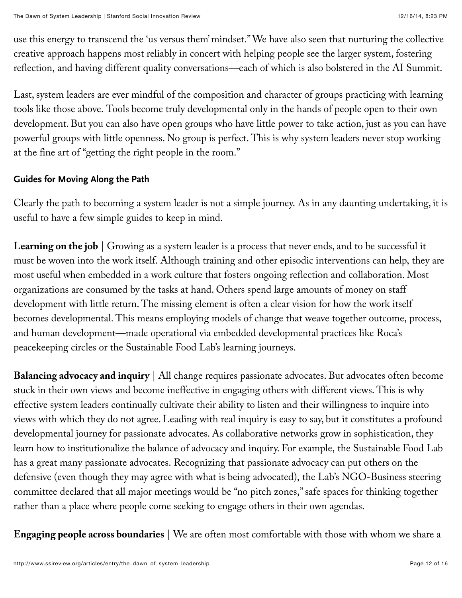use this energy to transcend the 'us versus them' mindset." We have also seen that nurturing the collective creative approach happens most reliably in concert with helping people see the larger system, fostering reflection, and having different quality conversations—each of which is also bolstered in the AI Summit.

Last, system leaders are ever mindful of the composition and character of groups practicing with learning tools like those above. Tools become truly developmental only in the hands of people open to their own development. But you can also have open groups who have little power to take action, just as you can have powerful groups with little openness. No group is perfect. This is why system leaders never stop working at the fine art of "getting the right people in the room."

#### **Guides for Moving Along the Path**

Clearly the path to becoming a system leader is not a simple journey. As in any daunting undertaking, it is useful to have a few simple guides to keep in mind.

Learning on the job | Growing as a system leader is a process that never ends, and to be successful it must be woven into the work itself. Although training and other episodic interventions can help, they are most useful when embedded in a work culture that fosters ongoing reflection and collaboration. Most organizations are consumed by the tasks at hand. Others spend large amounts of money on staff development with little return. The missing element is often a clear vision for how the work itself becomes developmental. This means employing models of change that weave together outcome, process, and human development—made operational via embedded developmental practices like Roca's peacekeeping circles or the Sustainable Food Lab's learning journeys.

**Balancing advocacy and inquiry** | All change requires passionate advocates. But advocates often become stuck in their own views and become ineffective in engaging others with different views. This is why effective system leaders continually cultivate their ability to listen and their willingness to inquire into views with which they do not agree. Leading with real inquiry is easy to say, but it constitutes a profound developmental journey for passionate advocates. As collaborative networks grow in sophistication, they learn how to institutionalize the balance of advocacy and inquiry. For example, the Sustainable Food Lab has a great many passionate advocates. Recognizing that passionate advocacy can put others on the defensive (even though they may agree with what is being advocated), the Lab's NGO-Business steering committee declared that all major meetings would be "no pitch zones," safe spaces for thinking together rather than a place where people come seeking to engage others in their own agendas.

**Engaging people across boundaries** | We are often most comfortable with those with whom we share a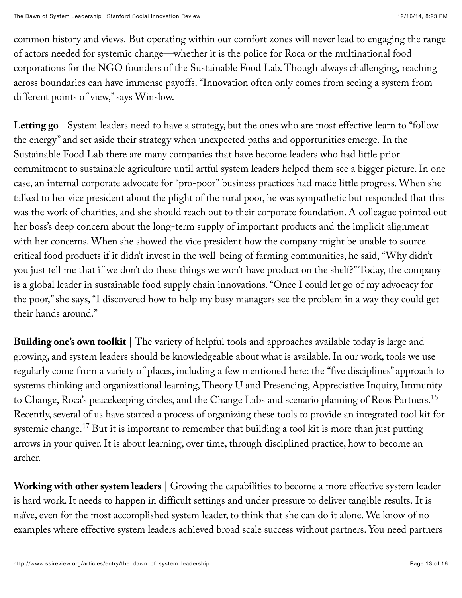common history and views. But operating within our comfort zones will never lead to engaging the range of actors needed for systemic change—whether it is the police for Roca or the multinational food corporations for the NGO founders of the Sustainable Food Lab. Though always challenging, reaching across boundaries can have immense payoffs. "Innovation often only comes from seeing a system from different points of view," says Winslow.

Letting go | System leaders need to have a strategy, but the ones who are most effective learn to "follow" the energy" and set aside their strategy when unexpected paths and opportunities emerge. In the Sustainable Food Lab there are many companies that have become leaders who had little prior commitment to sustainable agriculture until artful system leaders helped them see a bigger picture. In one case, an internal corporate advocate for "pro-poor" business practices had made little progress. When she talked to her vice president about the plight of the rural poor, he was sympathetic but responded that this was the work of charities, and she should reach out to their corporate foundation. A colleague pointed out her boss's deep concern about the long-term supply of important products and the implicit alignment with her concerns. When she showed the vice president how the company might be unable to source critical food products if it didn't invest in the well-being of farming communities, he said, "Why didn't you just tell me that if we don't do these things we won't have product on the shelf?" Today, the company is a global leader in sustainable food supply chain innovations. "Once I could let go of my advocacy for the poor," she says, "I discovered how to help my busy managers see the problem in a way they could get their hands around."

**Building one's own toolkit** | The variety of helpful tools and approaches available today is large and growing, and system leaders should be knowledgeable about what is available. In our work, tools we use regularly come from a variety of places, including a few mentioned here: the "five disciplines" approach to systems thinking and organizational learning, Theory U and Presencing, Appreciative Inquiry, Immunity to Change, Roca's peacekeeping circles, and the Change Labs and scenario planning of Reos Partners. 16 Recently, several of us have started a process of organizing these tools to provide an integrated tool kit for systemic change. $^{17}$  But it is important to remember that building a tool kit is more than just putting arrows in your quiver. It is about learning, over time, through disciplined practice, how to become an archer.

**Working with other system leaders** | Growing the capabilities to become a more effective system leader is hard work. It needs to happen in difficult settings and under pressure to deliver tangible results. It is naïve, even for the most accomplished system leader, to think that she can do it alone. We know of no examples where effective system leaders achieved broad scale success without partners. You need partners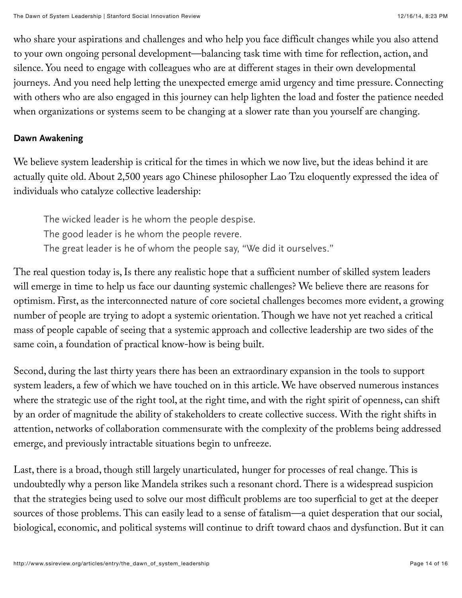who share your aspirations and challenges and who help you face difficult changes while you also attend to your own ongoing personal development—balancing task time with time for reflection, action, and silence. You need to engage with colleagues who are at different stages in their own developmental journeys. And you need help letting the unexpected emerge amid urgency and time pressure. Connecting with others who are also engaged in this journey can help lighten the load and foster the patience needed when organizations or systems seem to be changing at a slower rate than you yourself are changing.

#### **Dawn Awakening**

We believe system leadership is critical for the times in which we now live, but the ideas behind it are actually quite old. About 2,500 years ago Chinese philosopher Lao Tzu eloquently expressed the idea of individuals who catalyze collective leadership:

The wicked leader is he whom the people despise. The good leader is he whom the people revere. The great leader is he of whom the people say, "We did it ourselves."

The real question today is, Is there any realistic hope that a sufficient number of skilled system leaders will emerge in time to help us face our daunting systemic challenges? We believe there are reasons for optimism. First, as the interconnected nature of core societal challenges becomes more evident, a growing number of people are trying to adopt a systemic orientation. Though we have not yet reached a critical mass of people capable of seeing that a systemic approach and collective leadership are two sides of the same coin, a foundation of practical know-how is being built.

Second, during the last thirty years there has been an extraordinary expansion in the tools to support system leaders, a few of which we have touched on in this article. We have observed numerous instances where the strategic use of the right tool, at the right time, and with the right spirit of openness, can shift by an order of magnitude the ability of stakeholders to create collective success. With the right shifts in attention, networks of collaboration commensurate with the complexity of the problems being addressed emerge, and previously intractable situations begin to unfreeze.

Last, there is a broad, though still largely unarticulated, hunger for processes of real change. This is undoubtedly why a person like Mandela strikes such a resonant chord. There is a widespread suspicion that the strategies being used to solve our most difficult problems are too superficial to get at the deeper sources of those problems. This can easily lead to a sense of fatalism—a quiet desperation that our social, biological, economic, and political systems will continue to drift toward chaos and dysfunction. But it can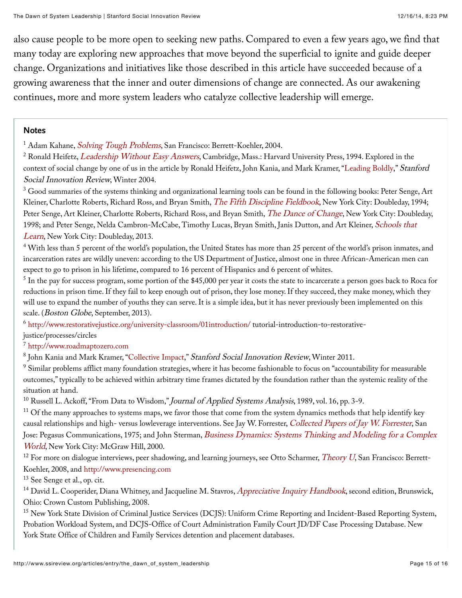also cause people to be more open to seeking new paths. Compared to even a few years ago, we find that many today are exploring new approaches that move beyond the superficial to ignite and guide deeper change. Organizations and initiatives like those described in this article have succeeded because of a growing awareness that the inner and outer dimensions of change are connected. As our awakening continues, more and more system leaders who catalyze collective leadership will emerge.

#### **Notes**

<sup>1</sup> Adam Kahane, *[Solving Tough Problems](http://www.amazon.com/Solving-Tough-Problems-Listening-Realities/dp/1576754642)*, San Francisco: Berrett-Koehler, 2004.

 $^2$  Ronald Heifetz,  $Leadership\ Without\ Easy\ Answers$ , Cambridge, Mass.: Harvard University Press, 1994. Explored in the context of social change by one of us in the article by Ronald Heifetz, John Kania, and Mark Kramer, ["Leading Boldly,](http://www.ssireview.org/articles/entry/leading_boldly)" Stanford Social Innovation Review, Winter 2004.

 $^3$  Good summaries of the systems thinking and organizational learning tools can be found in the following books: Peter Senge, Art Kleiner, Charlotte Roberts, Richard Ross, and Bryan Smith, [The Fifth Discipline Fieldbook](http://www.amazon.com/The-Fifth-Discipline-Fieldbook-Organization/dp/0385472560), New York City: Doubleday, 1994; Peter Senge, Art Kleiner, Charlotte Roberts, Richard Ross, and Bryan Smith, [The Dance of Change](http://www.amazon.com/The-Dance-Change-challenges-organization/dp/0385493223), New York City: Doubleday, [1998; and Peter Senge, Nelda Cambron-McCabe, Timothy Lucas, Bryan Smith, Janis Dutton, and Art Kleiner,](http://www.amazon.com/Schools-That-Learn-Updated-Revised/dp/0385518226) Schools that Learn, New York City: Doubleday, 2013.

 $^4$  With less than 5 percent of the world's population, the United States has more than 25 percent of the world's prison inmates, and incarceration rates are wildly uneven: according to the US Department of Justice, almost one in three African-American men can expect to go to prison in his lifetime, compared to 16 percent of Hispanics and 6 percent of whites.

 $^5$  In the pay for success program, some portion of the \$45,000 per year it costs the state to incarcerate a person goes back to Roca for reductions in prison time. If they fail to keep enough out of prison, they lose money. If they succeed, they make money, which they will use to expand the number of youths they can serve. It is a simple idea, but it has never previously been implemented on this scale. (*Boston Globe*, September, 2013).

 $^6$  <http://www.restorativejustice.org/university-classroom/01introduction/>tutorial-introduction-to-restorative-

#### justice/processes/circles

[http://www.roadmaptozero.com](http://www.roadmaptozero.com/) 7

 $^{\rm 8}$  John Kania and Mark Kramer, "[Collective Impact,](http://www.ssireview.org/articles/entry/collective_impact)" *Stanford Social Innovation Review*, Winter 2011.

 $^9$  Similar problems afflict many foundation strategies, where it has become fashionable to focus on "accountability for measurable outcomes," typically to be achieved within arbitrary time frames dictated by the foundation rather than the systemic reality of the situation at hand.

 $^{10}$  Russell L. Ackoff, "From Data to Wisdom," *Journal of Applied Systems Analysis*, 1989, vol. 16, pp. 3-9.

 $^{11}$  Of the many approaches to systems maps, we favor those that come from the system dynamics methods that help identify key causal relationships and high- versus lowleverage interventions. See Jay W. Forrester, [Collected Papers of Jay W. Forrester](http://www.amazon.com/Collected-Papers-Jay-Forrester-W/dp/1883823374), San Jose: Pegasus Communications, 1975; and John Sterman, *[Business Dynamics: Systems Thinking and Modeling for a Complex](http://www.amazon.com/Business-Dynamics-Systems-Thinking-Modeling/dp/007238915X)* World, New York City: McGraw Hill, 2000.

 $^{12}$  For more on dialogue interviews, peer shadowing, and learning journeys, see Otto Scharmer,  $Theory\ U,$  San Francisco: Berrett-Koehler, 2008, and [http://www.presencing.com](http://www.presencing.com/)

<sup>13</sup> See Senge et al., op. cit.

 $^{14}$  David L. Cooperider, Diana Whitney, and Jacqueline M. Stavros,  $Apprecative\; Inquiv\; Handbook,$  second edition, Brunswick, Ohio: Crown Custom Publishing, 2008.

<sup>15</sup> New York State Division of Criminal Justice Services (DCJS): Uniform Crime Reporting and Incident-Based Reporting System, Probation Workload System, and DCJS-Office of Court Administration Family Court JD/DF Case Processing Database. New York State Office of Children and Family Services detention and placement databases.